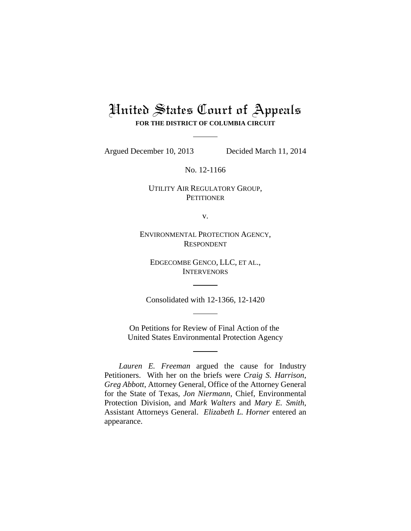# United States Court of Appeals **FOR THE DISTRICT OF COLUMBIA CIRCUIT**

Argued December 10, 2013 Decided March 11, 2014

No. 12-1166

## UTILITY AIR REGULATORY GROUP, **PETITIONER**

v.

ENVIRONMENTAL PROTECTION AGENCY, RESPONDENT

EDGECOMBE GENCO, LLC, ET AL., **INTERVENORS** 

Consolidated with 12-1366, 12-1420

On Petitions for Review of Final Action of the United States Environmental Protection Agency

*Lauren E. Freeman* argued the cause for Industry Petitioners. With her on the briefs were *Craig S. Harrison*, *Greg Abbott*, Attorney General, Office of the Attorney General for the State of Texas, *Jon Niermann*, Chief, Environmental Protection Division, and *Mark Walters* and *Mary E. Smith*, Assistant Attorneys General. *Elizabeth L. Horner* entered an appearance.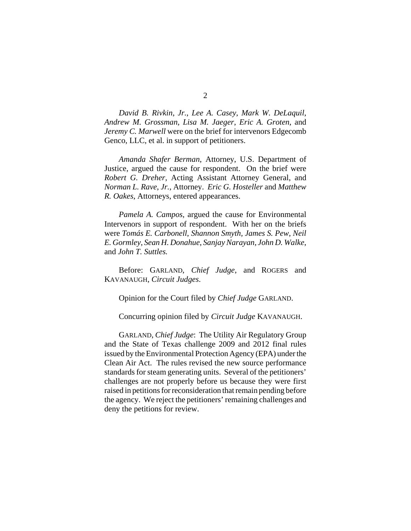*David B. Rivkin*, *Jr.*, *Lee A. Casey*, *Mark W. DeLaquil*, *Andrew M. Grossman*, *Lisa M. Jaeger*, *Eric A. Groten*, and *Jeremy C. Marwell* were on the brief for intervenors Edgecomb Genco, LLC, et al. in support of petitioners.

*Amanda Shafer Berman*, Attorney, U.S. Department of Justice, argued the cause for respondent. On the brief were *Robert G. Dreher*, Acting Assistant Attorney General, and *Norman L. Rave*, *Jr.*, Attorney. *Eric G. Hosteller* and *Matthew R. Oakes*, Attorneys, entered appearances.

*Pamela A. Campos*, argued the cause for Environmental Intervenors in support of respondent. With her on the briefs were *Tomás E. Carbonell*, *Shannon Smyth, James S. Pew*, *Neil E. Gormley*, *Sean H. Donahue*, *Sanjay Narayan*, *John D. Walke*, and *John T. Suttles.* 

Before: GARLAND, *Chief Judge*, and ROGERS and KAVANAUGH, *Circuit Judges*.

Opinion for the Court filed by *Chief Judge* GARLAND.

Concurring opinion filed by *Circuit Judge* KAVANAUGH.

GARLAND, *Chief Judge*: The Utility Air Regulatory Group and the State of Texas challenge 2009 and 2012 final rules issued by the Environmental Protection Agency (EPA) under the Clean Air Act. The rules revised the new source performance standards for steam generating units. Several of the petitioners' challenges are not properly before us because they were first raised in petitions for reconsideration that remain pending before the agency. We reject the petitioners' remaining challenges and deny the petitions for review.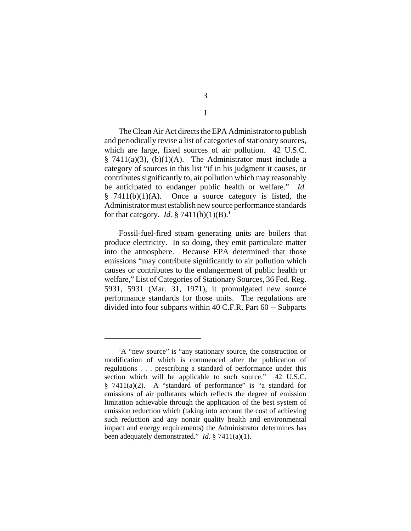The Clean Air Act directs the EPA Administrator to publish and periodically revise a list of categories of stationary sources, which are large, fixed sources of air pollution. 42 U.S.C. § 7411(a)(3), (b)(1)(A). The Administrator must include a category of sources in this list "if in his judgment it causes, or contributes significantly to, air pollution which may reasonably be anticipated to endanger public health or welfare." *Id.*  $§$  7411(b)(1)(A). Once a source category is listed, the Administrator must establish new source performance standards for that category. *Id.*  $\S 7411(b)(1)(B)$ .<sup>1</sup>

Fossil-fuel-fired steam generating units are boilers that produce electricity. In so doing, they emit particulate matter into the atmosphere. Because EPA determined that those emissions "may contribute significantly to air pollution which causes or contributes to the endangerment of public health or welfare," List of Categories of Stationary Sources, 36 Fed. Reg. 5931, 5931 (Mar. 31, 1971), it promulgated new source performance standards for those units. The regulations are divided into four subparts within 40 C.F.R. Part 60 -- Subparts

I

<sup>&</sup>lt;sup>1</sup>A "new source" is "any stationary source, the construction or modification of which is commenced after the publication of regulations . . . prescribing a standard of performance under this section which will be applicable to such source." 42 U.S.C.  $§$  7411(a)(2). A "standard of performance" is "a standard for emissions of air pollutants which reflects the degree of emission limitation achievable through the application of the best system of emission reduction which (taking into account the cost of achieving such reduction and any nonair quality health and environmental impact and energy requirements) the Administrator determines has been adequately demonstrated." *Id.* § 7411(a)(1).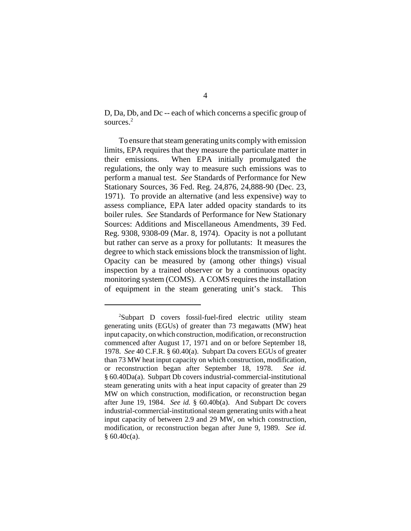D, Da, Db, and Dc -- each of which concerns a specific group of sources.<sup>2</sup>

To ensure that steam generating units comply with emission limits, EPA requires that they measure the particulate matter in their emissions. When EPA initially promulgated the regulations, the only way to measure such emissions was to perform a manual test. *See* Standards of Performance for New Stationary Sources, 36 Fed. Reg. 24,876, 24,888-90 (Dec. 23, 1971). To provide an alternative (and less expensive) way to assess compliance, EPA later added opacity standards to its boiler rules. *See* Standards of Performance for New Stationary Sources: Additions and Miscellaneous Amendments, 39 Fed. Reg. 9308, 9308-09 (Mar. 8, 1974). Opacity is not a pollutant but rather can serve as a proxy for pollutants: It measures the degree to which stack emissions block the transmission of light. Opacity can be measured by (among other things) visual inspection by a trained observer or by a continuous opacity monitoring system (COMS). A COMS requires the installation of equipment in the steam generating unit's stack. This

<sup>&</sup>lt;sup>2</sup>Subpart D covers fossil-fuel-fired electric utility steam generating units (EGUs) of greater than 73 megawatts (MW) heat input capacity, on which construction, modification, or reconstruction commenced after August 17, 1971 and on or before September 18, 1978. *See* 40 C.F.R. § 60.40(a). Subpart Da covers EGUs of greater than 73 MW heat input capacity on which construction, modification, or reconstruction began after September 18, 1978. *See id.* § 60.40Da(a). Subpart Db covers industrial-commercial-institutional steam generating units with a heat input capacity of greater than 29 MW on which construction, modification, or reconstruction began after June 19, 1984. *See id.* § 60.40b(a). And Subpart Dc covers industrial-commercial-institutional steam generating units with a heat input capacity of between 2.9 and 29 MW, on which construction, modification, or reconstruction began after June 9, 1989. *See id.*  $§ 60.40c(a).$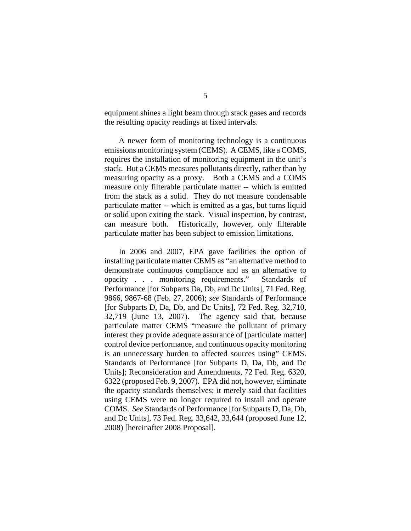equipment shines a light beam through stack gases and records the resulting opacity readings at fixed intervals.

A newer form of monitoring technology is a continuous emissions monitoring system (CEMS). A CEMS, like a COMS, requires the installation of monitoring equipment in the unit's stack. But a CEMS measures pollutants directly, rather than by measuring opacity as a proxy. Both a CEMS and a COMS measure only filterable particulate matter -- which is emitted from the stack as a solid. They do not measure condensable particulate matter -- which is emitted as a gas, but turns liquid or solid upon exiting the stack. Visual inspection, by contrast, can measure both. Historically, however, only filterable particulate matter has been subject to emission limitations.

In 2006 and 2007, EPA gave facilities the option of installing particulate matter CEMS as "an alternative method to demonstrate continuous compliance and as an alternative to opacity . . . monitoring requirements." Standards of Performance [for Subparts Da, Db, and Dc Units], 71 Fed. Reg. 9866, 9867-68 (Feb. 27, 2006); *see* Standards of Performance [for Subparts D, Da, Db, and Dc Units], 72 Fed. Reg. 32,710, 32,719 (June 13, 2007). The agency said that, because particulate matter CEMS "measure the pollutant of primary interest they provide adequate assurance of [particulate matter] control device performance, and continuous opacity monitoring is an unnecessary burden to affected sources using" CEMS. Standards of Performance [for Subparts D, Da, Db, and Dc Units]; Reconsideration and Amendments, 72 Fed. Reg. 6320, 6322 (proposed Feb. 9, 2007). EPA did not, however, eliminate the opacity standards themselves; it merely said that facilities using CEMS were no longer required to install and operate COMS. *See* Standards of Performance [for Subparts D, Da, Db, and Dc Units], 73 Fed. Reg. 33,642, 33,644 (proposed June 12, 2008) [hereinafter 2008 Proposal].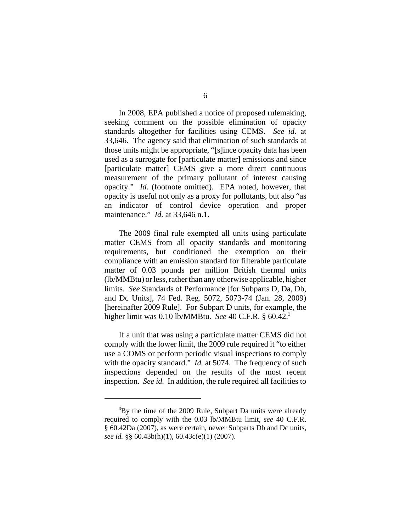In 2008, EPA published a notice of proposed rulemaking, seeking comment on the possible elimination of opacity standards altogether for facilities using CEMS. *See id.* at 33,646. The agency said that elimination of such standards at those units might be appropriate, "[s]ince opacity data has been used as a surrogate for [particulate matter] emissions and since [particulate matter] CEMS give a more direct continuous measurement of the primary pollutant of interest causing opacity." *Id.* (footnote omitted). EPA noted, however, that opacity is useful not only as a proxy for pollutants, but also "as an indicator of control device operation and proper maintenance." *Id.* at 33,646 n.1.

The 2009 final rule exempted all units using particulate matter CEMS from all opacity standards and monitoring requirements, but conditioned the exemption on their compliance with an emission standard for filterable particulate matter of 0.03 pounds per million British thermal units (lb/MMBtu) or less, rather than any otherwise applicable, higher limits. *See* Standards of Performance [for Subparts D, Da, Db, and Dc Units], 74 Fed. Reg. 5072, 5073-74 (Jan. 28, 2009) [hereinafter 2009 Rule]. For Subpart D units, for example, the higher limit was 0.10 lb/MMBtu. *See* 40 C.F.R. § 60.42.3

If a unit that was using a particulate matter CEMS did not comply with the lower limit, the 2009 rule required it "to either use a COMS or perform periodic visual inspections to comply with the opacity standard." *Id.* at 5074. The frequency of such inspections depended on the results of the most recent inspection. *See id.* In addition, the rule required all facilities to

<sup>&</sup>lt;sup>3</sup>By the time of the 2009 Rule, Subpart Da units were already required to comply with the 0.03 lb/MMBtu limit, *see* 40 C.F.R. § 60.42Da (2007), as were certain, newer Subparts Db and Dc units, *see id.* §§ 60.43b(h)(1), 60.43c(e)(1) (2007).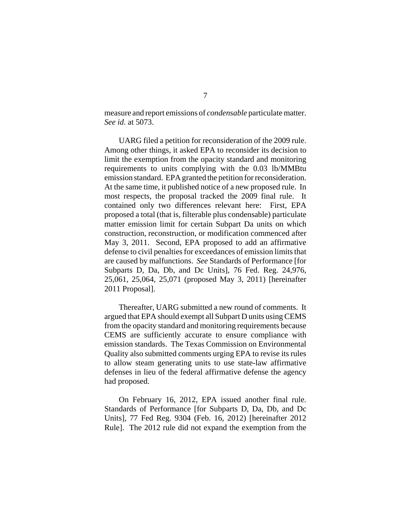measure and report emissions of *condensable* particulate matter. *See id.* at 5073.

UARG filed a petition for reconsideration of the 2009 rule. Among other things, it asked EPA to reconsider its decision to limit the exemption from the opacity standard and monitoring requirements to units complying with the 0.03 lb/MMBtu emission standard. EPA granted the petition for reconsideration. At the same time, it published notice of a new proposed rule. In most respects, the proposal tracked the 2009 final rule. It contained only two differences relevant here: First, EPA proposed a total (that is, filterable plus condensable) particulate matter emission limit for certain Subpart Da units on which construction, reconstruction, or modification commenced after May 3, 2011. Second, EPA proposed to add an affirmative defense to civil penalties for exceedances of emission limits that are caused by malfunctions. *See* Standards of Performance [for Subparts D, Da, Db, and Dc Units], 76 Fed. Reg. 24,976, 25,061, 25,064, 25,071 (proposed May 3, 2011) [hereinafter 2011 Proposal].

Thereafter, UARG submitted a new round of comments. It argued that EPA should exempt all Subpart D units using CEMS from the opacity standard and monitoring requirements because CEMS are sufficiently accurate to ensure compliance with emission standards. The Texas Commission on Environmental Quality also submitted comments urging EPA to revise its rules to allow steam generating units to use state-law affirmative defenses in lieu of the federal affirmative defense the agency had proposed.

On February 16, 2012, EPA issued another final rule. Standards of Performance [for Subparts D, Da, Db, and Dc Units], 77 Fed Reg. 9304 (Feb. 16, 2012) [hereinafter 2012 Rule]. The 2012 rule did not expand the exemption from the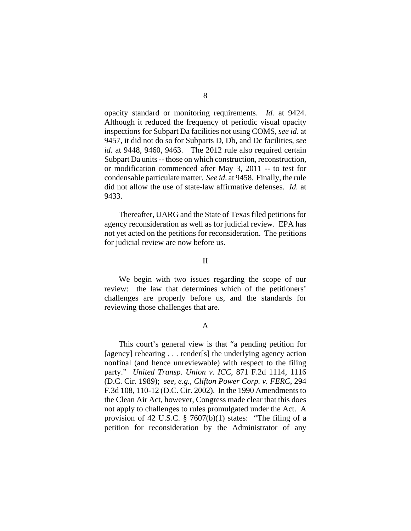opacity standard or monitoring requirements. *Id.* at 9424. Although it reduced the frequency of periodic visual opacity inspections for Subpart Da facilities not using COMS, *see id.* at 9457, it did not do so for Subparts D, Db, and Dc facilities, *see id.* at 9448, 9460, 9463. The 2012 rule also required certain Subpart Da units -- those on which construction, reconstruction, or modification commenced after May 3, 2011 -- to test for condensable particulate matter. *See id*. at 9458. Finally, the rule did not allow the use of state-law affirmative defenses. *Id.* at 9433.

Thereafter, UARG and the State of Texas filed petitions for agency reconsideration as well as for judicial review. EPA has not yet acted on the petitions for reconsideration. The petitions for judicial review are now before us.

#### II

We begin with two issues regarding the scope of our review: the law that determines which of the petitioners' challenges are properly before us, and the standards for reviewing those challenges that are.

### A

This court's general view is that "a pending petition for [agency] rehearing . . . render[s] the underlying agency action nonfinal (and hence unreviewable) with respect to the filing party." *United Transp. Union v. ICC*, 871 F.2d 1114, 1116 (D.C. Cir. 1989); *see, e.g.*, *Clifton Power Corp. v. FERC*, 294 F.3d 108, 110-12 (D.C. Cir. 2002). In the 1990 Amendments to the Clean Air Act, however, Congress made clear that this does not apply to challenges to rules promulgated under the Act. A provision of 42 U.S.C.  $\S$  7607(b)(1) states: "The filing of a petition for reconsideration by the Administrator of any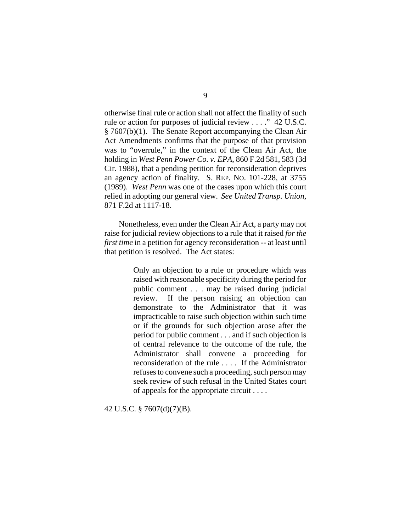otherwise final rule or action shall not affect the finality of such rule or action for purposes of judicial review . . . ." 42 U.S.C. § 7607(b)(1). The Senate Report accompanying the Clean Air Act Amendments confirms that the purpose of that provision was to "overrule," in the context of the Clean Air Act, the holding in *West Penn Power Co. v. EPA*, 860 F.2d 581, 583 (3d Cir. 1988), that a pending petition for reconsideration deprives an agency action of finality. S. REP. NO. 101-228, at 3755 (1989). *West Penn* was one of the cases upon which this court relied in adopting our general view. *See United Transp. Union*, 871 F.2d at 1117-18.

Nonetheless, even under the Clean Air Act, a party may not raise for judicial review objections to a rule that it raised *for the first time* in a petition for agency reconsideration -- at least until that petition is resolved. The Act states:

> Only an objection to a rule or procedure which was raised with reasonable specificity during the period for public comment . . . may be raised during judicial review. If the person raising an objection can demonstrate to the Administrator that it was impracticable to raise such objection within such time or if the grounds for such objection arose after the period for public comment . . . and if such objection is of central relevance to the outcome of the rule, the Administrator shall convene a proceeding for reconsideration of the rule . . . . If the Administrator refuses to convene such a proceeding, such person may seek review of such refusal in the United States court of appeals for the appropriate circuit . . . .

42 U.S.C. § 7607(d)(7)(B).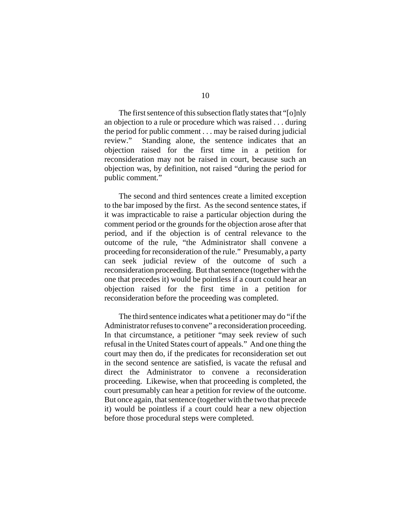The first sentence of this subsection flatly states that "[o]nly an objection to a rule or procedure which was raised . . . during the period for public comment . . . may be raised during judicial review." Standing alone, the sentence indicates that an objection raised for the first time in a petition for reconsideration may not be raised in court, because such an objection was, by definition, not raised "during the period for public comment."

The second and third sentences create a limited exception to the bar imposed by the first. As the second sentence states, if it was impracticable to raise a particular objection during the comment period or the grounds for the objection arose after that period, and if the objection is of central relevance to the outcome of the rule, "the Administrator shall convene a proceeding for reconsideration of the rule." Presumably, a party can seek judicial review of the outcome of such a reconsideration proceeding. But that sentence (together with the one that precedes it) would be pointless if a court could hear an objection raised for the first time in a petition for reconsideration before the proceeding was completed.

The third sentence indicates what a petitioner may do "if the Administrator refuses to convene" a reconsideration proceeding. In that circumstance, a petitioner "may seek review of such refusal in the United States court of appeals." And one thing the court may then do, if the predicates for reconsideration set out in the second sentence are satisfied, is vacate the refusal and direct the Administrator to convene a reconsideration proceeding. Likewise, when that proceeding is completed, the court presumably can hear a petition for review of the outcome. But once again, that sentence (together with the two that precede it) would be pointless if a court could hear a new objection before those procedural steps were completed.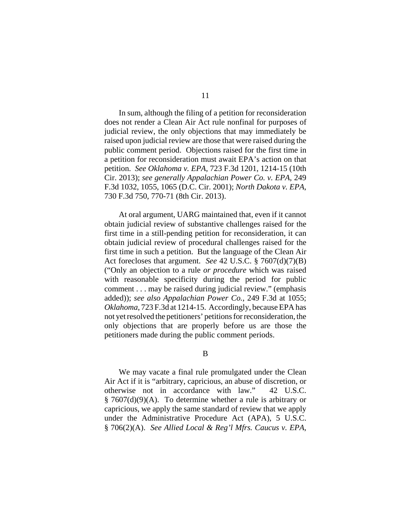In sum, although the filing of a petition for reconsideration does not render a Clean Air Act rule nonfinal for purposes of judicial review, the only objections that may immediately be raised upon judicial review are those that were raised during the public comment period. Objections raised for the first time in a petition for reconsideration must await EPA's action on that petition. *See Oklahoma v. EPA*, 723 F.3d 1201, 1214-15 (10th Cir. 2013); *see generally Appalachian Power Co. v. EPA*, 249 F.3d 1032, 1055, 1065 (D.C. Cir. 2001); *North Dakota v. EPA*, 730 F.3d 750, 770-71 (8th Cir. 2013).

At oral argument, UARG maintained that, even if it cannot obtain judicial review of substantive challenges raised for the first time in a still-pending petition for reconsideration, it can obtain judicial review of procedural challenges raised for the first time in such a petition. But the language of the Clean Air Act forecloses that argument. *See* 42 U.S.C. § 7607(d)(7)(B) ("Only an objection to a rule *or procedure* which was raised with reasonable specificity during the period for public comment . . . may be raised during judicial review." (emphasis added)); *see also Appalachian Power Co.*, 249 F.3d at 1055; *Oklahoma*, 723 F.3d at 1214-15. Accordingly, because EPA has not yet resolved the petitioners' petitions for reconsideration, the only objections that are properly before us are those the petitioners made during the public comment periods.

B

We may vacate a final rule promulgated under the Clean Air Act if it is "arbitrary, capricious, an abuse of discretion, or otherwise not in accordance with law." 42 U.S.C. § 7607(d)(9)(A). To determine whether a rule is arbitrary or capricious, we apply the same standard of review that we apply under the Administrative Procedure Act (APA), 5 U.S.C. § 706(2)(A). *See Allied Local & Reg'l Mfrs. Caucus v. EPA*,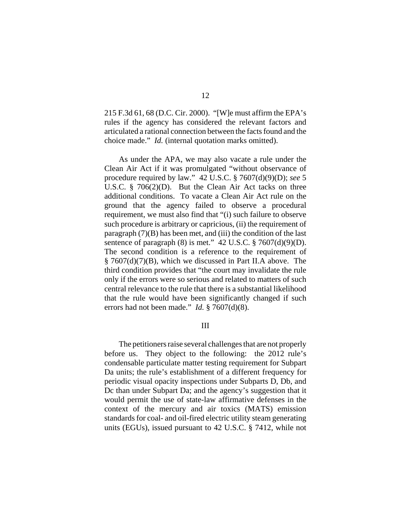215 F.3d 61, 68 (D.C. Cir. 2000). "[W]e must affirm the EPA's rules if the agency has considered the relevant factors and articulated a rational connection between the facts found and the choice made." *Id.* (internal quotation marks omitted).

As under the APA, we may also vacate a rule under the Clean Air Act if it was promulgated "without observance of procedure required by law." 42 U.S.C. § 7607(d)(9)(D); *see* 5 U.S.C. § 706(2)(D). But the Clean Air Act tacks on three additional conditions. To vacate a Clean Air Act rule on the ground that the agency failed to observe a procedural requirement, we must also find that "(i) such failure to observe such procedure is arbitrary or capricious, (ii) the requirement of paragraph  $(7)(B)$  has been met, and (iii) the condition of the last sentence of paragraph  $(8)$  is met." 42 U.S.C.  $\S$  7607 $(d)(9)(D)$ . The second condition is a reference to the requirement of § 7607(d)(7)(B), which we discussed in Part II.A above. The third condition provides that "the court may invalidate the rule only if the errors were so serious and related to matters of such central relevance to the rule that there is a substantial likelihood that the rule would have been significantly changed if such errors had not been made." *Id.* § 7607(d)(8).

## III

The petitioners raise several challenges that are not properly before us. They object to the following: the 2012 rule's condensable particulate matter testing requirement for Subpart Da units; the rule's establishment of a different frequency for periodic visual opacity inspections under Subparts D, Db, and Dc than under Subpart Da; and the agency's suggestion that it would permit the use of state-law affirmative defenses in the context of the mercury and air toxics (MATS) emission standards for coal- and oil-fired electric utility steam generating units (EGUs), issued pursuant to 42 U.S.C. § 7412, while not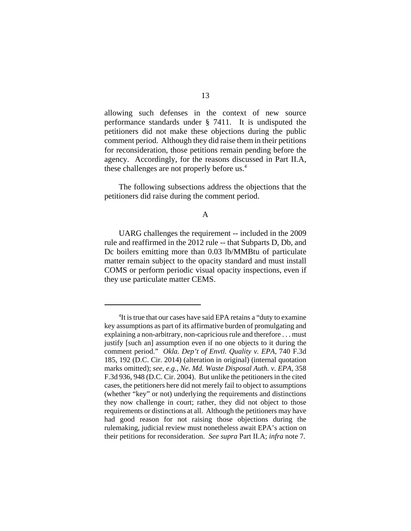allowing such defenses in the context of new source performance standards under § 7411. It is undisputed the petitioners did not make these objections during the public comment period. Although they did raise them in their petitions for reconsideration, those petitions remain pending before the agency. Accordingly, for the reasons discussed in Part II.A, these challenges are not properly before us.<sup>4</sup>

The following subsections address the objections that the petitioners did raise during the comment period.

## A

UARG challenges the requirement -- included in the 2009 rule and reaffirmed in the 2012 rule -- that Subparts D, Db, and Dc boilers emitting more than 0.03 lb/MMBtu of particulate matter remain subject to the opacity standard and must install COMS or perform periodic visual opacity inspections, even if they use particulate matter CEMS.

<sup>&</sup>lt;sup>4</sup>It is true that our cases have said EPA retains a "duty to examine" key assumptions as part of its affirmative burden of promulgating and explaining a non-arbitrary, non-capricious rule and therefore . . . must justify [such an] assumption even if no one objects to it during the comment period." *Okla. Dep't of Envtl. Quality v. EPA*, 740 F.3d 185, 192 (D.C. Cir. 2014) (alteration in original) (internal quotation marks omitted); *see, e.g.*, *Ne. Md. Waste Disposal Auth. v. EPA*, 358 F.3d 936, 948 (D.C. Cir. 2004). But unlike the petitioners in the cited cases, the petitioners here did not merely fail to object to assumptions (whether "key" or not) underlying the requirements and distinctions they now challenge in court; rather, they did not object to those requirements or distinctions at all. Although the petitioners may have had good reason for not raising those objections during the rulemaking, judicial review must nonetheless await EPA's action on their petitions for reconsideration. *See supra* Part II.A; *infra* note 7.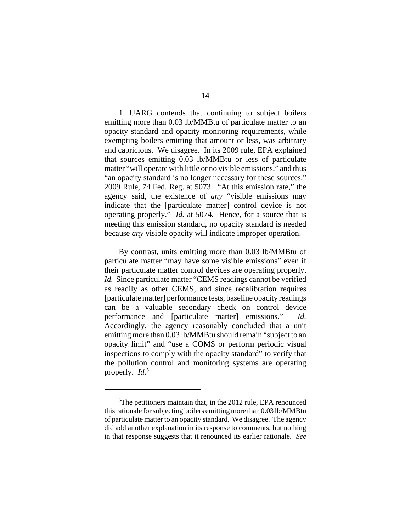1. UARG contends that continuing to subject boilers emitting more than 0.03 lb/MMBtu of particulate matter to an opacity standard and opacity monitoring requirements, while exempting boilers emitting that amount or less, was arbitrary and capricious. We disagree. In its 2009 rule, EPA explained that sources emitting 0.03 lb/MMBtu or less of particulate matter "will operate with little or no visible emissions," and thus "an opacity standard is no longer necessary for these sources." 2009 Rule, 74 Fed. Reg. at 5073. "At this emission rate," the agency said, the existence of *any* "visible emissions may indicate that the [particulate matter] control device is not operating properly." *Id.* at 5074. Hence, for a source that is meeting this emission standard, no opacity standard is needed because *any* visible opacity will indicate improper operation.

By contrast, units emitting more than 0.03 lb/MMBtu of particulate matter "may have some visible emissions" even if their particulate matter control devices are operating properly. *Id.* Since particulate matter "CEMS readings cannot be verified as readily as other CEMS, and since recalibration requires [particulate matter] performance tests, baseline opacity readings can be a valuable secondary check on control device performance and [particulate matter] emissions." *Id.* Accordingly, the agency reasonably concluded that a unit emitting more than 0.03 lb/MMBtu should remain "subject to an opacity limit" and "use a COMS or perform periodic visual inspections to comply with the opacity standard" to verify that the pollution control and monitoring systems are operating properly. *Id.*<sup>5</sup>

<sup>&</sup>lt;sup>5</sup>The petitioners maintain that, in the 2012 rule, EPA renounced this rationale for subjecting boilers emitting more than 0.03 lb/MMBtu of particulate matter to an opacity standard. We disagree. The agency did add another explanation in its response to comments, but nothing in that response suggests that it renounced its earlier rationale. *See*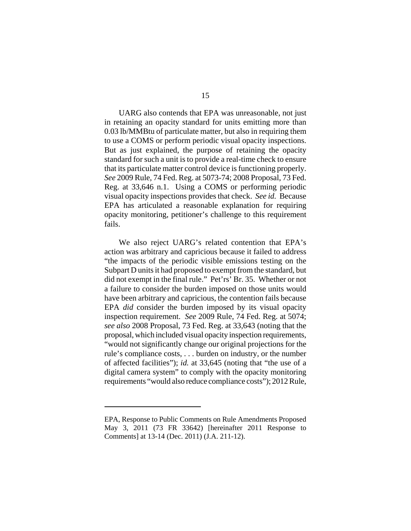UARG also contends that EPA was unreasonable, not just in retaining an opacity standard for units emitting more than 0.03 lb/MMBtu of particulate matter, but also in requiring them to use a COMS or perform periodic visual opacity inspections. But as just explained, the purpose of retaining the opacity standard for such a unit is to provide a real-time check to ensure that its particulate matter control device is functioning properly. *See* 2009 Rule, 74 Fed. Reg. at 5073-74; 2008 Proposal, 73 Fed. Reg. at 33,646 n.1. Using a COMS or performing periodic visual opacity inspections provides that check. *See id.* Because EPA has articulated a reasonable explanation for requiring opacity monitoring, petitioner's challenge to this requirement fails.

We also reject UARG's related contention that EPA's action was arbitrary and capricious because it failed to address "the impacts of the periodic visible emissions testing on the Subpart D units it had proposed to exempt from the standard, but did not exempt in the final rule." Pet'rs' Br. 35. Whether or not a failure to consider the burden imposed on those units would have been arbitrary and capricious, the contention fails because EPA *did* consider the burden imposed by its visual opacity inspection requirement. *See* 2009 Rule, 74 Fed. Reg. at 5074; *see also* 2008 Proposal, 73 Fed. Reg. at 33,643 (noting that the proposal, which included visual opacity inspection requirements, "would not significantly change our original projections for the rule's compliance costs, . . . burden on industry, or the number of affected facilities"); *id.* at 33,645 (noting that "the use of a digital camera system" to comply with the opacity monitoring requirements "would also reduce compliance costs"); 2012 Rule,

EPA, Response to Public Comments on Rule Amendments Proposed May 3, 2011 (73 FR 33642) [hereinafter 2011 Response to Comments] at 13-14 (Dec. 2011) (J.A. 211-12).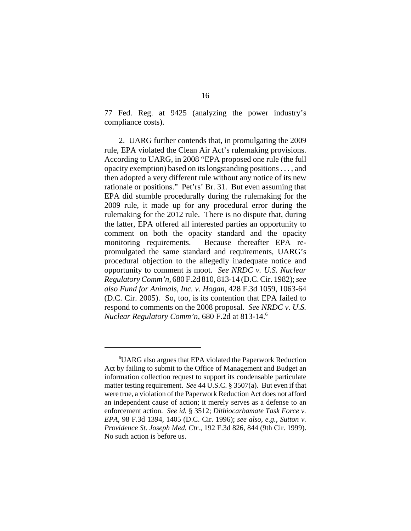77 Fed. Reg. at 9425 (analyzing the power industry's compliance costs).

2. UARG further contends that, in promulgating the 2009 rule, EPA violated the Clean Air Act's rulemaking provisions. According to UARG, in 2008 "EPA proposed one rule (the full opacity exemption) based on its longstanding positions . . . , and then adopted a very different rule without any notice of its new rationale or positions." Pet'rs' Br. 31. But even assuming that EPA did stumble procedurally during the rulemaking for the 2009 rule, it made up for any procedural error during the rulemaking for the 2012 rule. There is no dispute that, during the latter, EPA offered all interested parties an opportunity to comment on both the opacity standard and the opacity monitoring requirements. Because thereafter EPA repromulgated the same standard and requirements, UARG's procedural objection to the allegedly inadequate notice and opportunity to comment is moot. *See NRDC v. U.S. Nuclear Regulatory Comm'n*, 680 F.2d 810, 813-14 (D.C. Cir. 1982); *see also Fund for Animals, Inc. v. Hogan*, 428 F.3d 1059, 1063-64 (D.C. Cir. 2005). So, too, is its contention that EPA failed to respond to comments on the 2008 proposal. *See NRDC v. U.S. Nuclear Regulatory Comm'n*, 680 F.2d at 813-14.6

<sup>6</sup> UARG also argues that EPA violated the Paperwork Reduction Act by failing to submit to the Office of Management and Budget an information collection request to support its condensable particulate matter testing requirement. *See* 44 U.S.C. § 3507(a). But even if that were true, a violation of the Paperwork Reduction Act does not afford an independent cause of action; it merely serves as a defense to an enforcement action. *See id.* § 3512; *Dithiocarbamate Task Force v. EPA*, 98 F.3d 1394, 1405 (D.C. Cir. 1996); *see also, e.g.*, *Sutton v. Providence St. Joseph Med. Ctr.*, 192 F.3d 826, 844 (9th Cir. 1999). No such action is before us.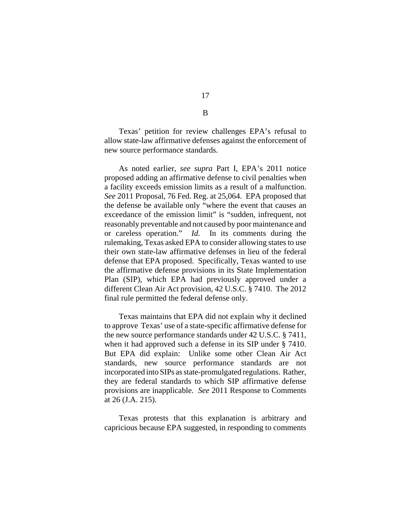Texas' petition for review challenges EPA's refusal to allow state-law affirmative defenses against the enforcement of new source performance standards.

As noted earlier, *see supra* Part I, EPA's 2011 notice proposed adding an affirmative defense to civil penalties when a facility exceeds emission limits as a result of a malfunction. *See* 2011 Proposal, 76 Fed. Reg. at 25,064. EPA proposed that the defense be available only "where the event that causes an exceedance of the emission limit" is "sudden, infrequent, not reasonably preventable and not caused by poor maintenance and or careless operation." *Id.* In its comments during the rulemaking, Texas asked EPA to consider allowing states to use their own state-law affirmative defenses in lieu of the federal defense that EPA proposed. Specifically, Texas wanted to use the affirmative defense provisions in its State Implementation Plan (SIP), which EPA had previously approved under a different Clean Air Act provision, 42 U.S.C. § 7410. The 2012 final rule permitted the federal defense only.

Texas maintains that EPA did not explain why it declined to approve Texas' use of a state-specific affirmative defense for the new source performance standards under 42 U.S.C. § 7411, when it had approved such a defense in its SIP under § 7410. But EPA did explain: Unlike some other Clean Air Act standards, new source performance standards are not incorporated into SIPs as state-promulgated regulations. Rather, they are federal standards to which SIP affirmative defense provisions are inapplicable. *See* 2011 Response to Comments at 26 (J.A. 215).

Texas protests that this explanation is arbitrary and capricious because EPA suggested, in responding to comments

B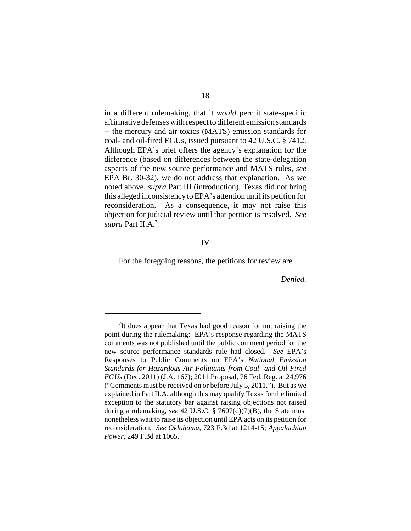in a different rulemaking, that it *would* permit state-specific affirmative defenses with respect to different emission standards -- the mercury and air toxics (MATS) emission standards for coal- and oil-fired EGUs, issued pursuant to 42 U.S.C. § 7412. Although EPA's brief offers the agency's explanation for the difference (based on differences between the state-delegation aspects of the new source performance and MATS rules, *see* EPA Br. 30-32), we do not address that explanation. As we noted above, *supra* Part III (introduction), Texas did not bring this alleged inconsistency to EPA's attention until its petition for reconsideration. As a consequence, it may not raise this objection for judicial review until that petition is resolved. *See supra* Part II.A.<sup>7</sup>

### IV

For the foregoing reasons, the petitions for review are

*Denied.*

<sup>&</sup>lt;sup>7</sup>It does appear that Texas had good reason for not raising the point during the rulemaking: EPA's response regarding the MATS comments was not published until the public comment period for the new source performance standards rule had closed. *See* EPA's Responses to Public Comments on EPA's *National Emission Standards for Hazardous Air Pollutants from Coal- and Oil-Fired EGUs* (Dec. 2011) (J.A. 167); 2011 Proposal, 76 Fed. Reg. at 24,976 ("Comments must be received on or before July 5, 2011."). But as we explained in Part II.A, although this may qualify Texas for the limited exception to the statutory bar against raising objections not raised during a rulemaking, *see* 42 U.S.C. § 7607(d)(7)(B), the State must nonetheless wait to raise its objection until EPA acts on its petition for reconsideration. *See Oklahoma*, 723 F.3d at 1214-15; *Appalachian Power*, 249 F.3d at 1065.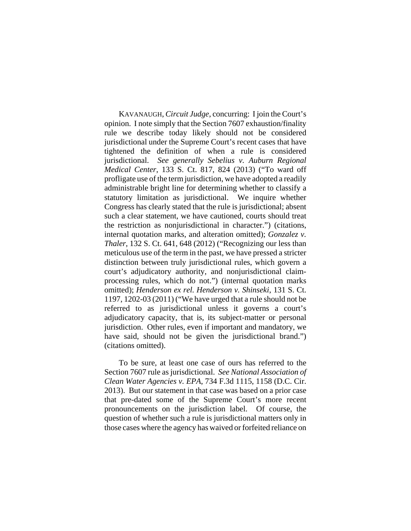KAVANAUGH, *Circuit Judge*, concurring: I join the Court's opinion. I note simply that the Section 7607 exhaustion/finality rule we describe today likely should not be considered jurisdictional under the Supreme Court's recent cases that have tightened the definition of when a rule is considered jurisdictional. *See generally Sebelius v. Auburn Regional Medical Center*, 133 S. Ct. 817, 824 (2013) ("To ward off profligate use of the term jurisdiction, we have adopted a readily administrable bright line for determining whether to classify a statutory limitation as jurisdictional. We inquire whether Congress has clearly stated that the rule is jurisdictional; absent such a clear statement, we have cautioned, courts should treat the restriction as nonjurisdictional in character.") (citations, internal quotation marks, and alteration omitted); *Gonzalez v. Thaler*, 132 S. Ct. 641, 648 (2012) ("Recognizing our less than meticulous use of the term in the past, we have pressed a stricter distinction between truly jurisdictional rules, which govern a court's adjudicatory authority, and nonjurisdictional claimprocessing rules, which do not.") (internal quotation marks omitted); *Henderson ex rel. Henderson v. Shinseki*, 131 S. Ct. 1197, 1202-03 (2011) ("We have urged that a rule should not be referred to as jurisdictional unless it governs a court's adjudicatory capacity, that is, its subject-matter or personal jurisdiction. Other rules, even if important and mandatory, we have said, should not be given the jurisdictional brand.") (citations omitted).

To be sure, at least one case of ours has referred to the Section 7607 rule as jurisdictional. *See National Association of Clean Water Agencies v. EPA*, 734 F.3d 1115, 1158 (D.C. Cir. 2013). But our statement in that case was based on a prior case that pre-dated some of the Supreme Court's more recent pronouncements on the jurisdiction label. Of course, the question of whether such a rule is jurisdictional matters only in those cases where the agency has waived or forfeited reliance on